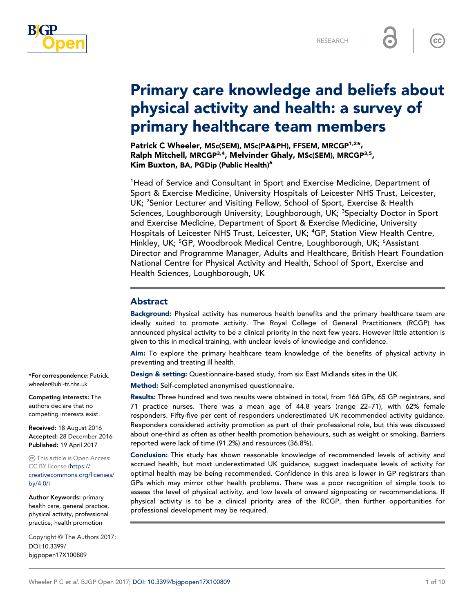

 $\overline{\text{cc}}$ 

# Primary care knowledge and beliefs about physical activity and health: a survey of primary healthcare team members

Patrick C Wheeler, MSc(SEM), MSc(PA&PH), FFSEM, MRCGP<sup>1,2\*</sup>, Ralph Mitchell, MRCGP<sup>3,4</sup>, Melvinder Ghaly, MSc(SEM), MRCGP<sup>3,5</sup>, Kim Buxton, BA, PGDip (Public Health)<sup>6</sup>

<sup>1</sup>Head of Service and Consultant in Sport and Exercise Medicine, Department of Sport & Exercise Medicine, University Hospitals of Leicester NHS Trust, Leicester, UK; <sup>2</sup>Senior Lecturer and Visiting Fellow, School of Sport, Exercise & Health Sciences, Loughborough University, Loughborough, UK; <sup>3</sup>Specialty Doctor in Sport and Exercise Medicine, Department of Sport & Exercise Medicine, University Hospitals of Leicester NHS Trust, Leicester, UK; <sup>4</sup>GP, Station View Health Centre, Hinkley, UK; <sup>5</sup>GP, Woodbrook Medical Centre, Loughborough, UK; <sup>6</sup>Assistant Director and Programme Manager, Adults and Healthcare, British Heart Foundation National Centre for Physical Activity and Health, School of Sport, Exercise and Health Sciences, Loughborough, UK

## Abstract

Background: Physical activity has numerous health benefits and the primary healthcare team are ideally suited to promote activity. The Royal College of General Practitioners (RCGP) has announced physical activity to be a clinical priority in the next few years. However little attention is given to this in medical training, with unclear levels of knowledge and confidence.

Aim: To explore the primary healthcare team knowledge of the benefits of physical activity in preventing and treating ill health.

Design & setting: Questionnaire-based study, from six East Midlands sites in the UK.

Method: Self-completed anonymised questionnaire.

Results: Three hundred and two results were obtained in total, from 166 GPs, 65 GP registrars, and 71 practice nurses. There was a mean age of 44.8 years (range 22–71), with 62% female responders. Fifty-five per cent of responders underestimated UK recommended activity guidance. Responders considered activity promotion as part of their professional role, but this was discussed about one-third as often as other health promotion behaviours, such as weight or smoking. Barriers reported were lack of time (91.2%) and resources (36.8%).

Conclusion: This study has shown reasonable knowledge of recommended levels of activity and accrued health, but most underestimated UK guidance, suggest inadequate levels of activity for optimal health may be being recommended. Confidence in this area is lower in GP registrars than GPs which may mirror other health problems. There was a poor recognition of simple tools to assess the level of physical activity, and low levels of onward signposting or recommendations. If physical activity is to be a clinical priority area of the RCGP, then further opportunities for professional development may be required.

\*For correspondence: Patrick. wheeler@uhl-tr.nhs.uk

Competing interests: The authors declare that no competing interests exist.

Received: 18 August 2016 Accepted: 28 December 2016 Published: 19 April 2017

This article is Open Access: CC BY license ([https://](http://creativecommons.org/licences/by/4.0/) [creativecommons.org/licenses/](http://creativecommons.org/licences/by/4.0/) [by/4.0/\)](http://creativecommons.org/licences/by/4.0/)

Author Keywords: primary health care, general practice, physical activity, professional practice, health promotion

DOI:10.3399/ bjgpopen17X100809 Copyright © The Authors 2017;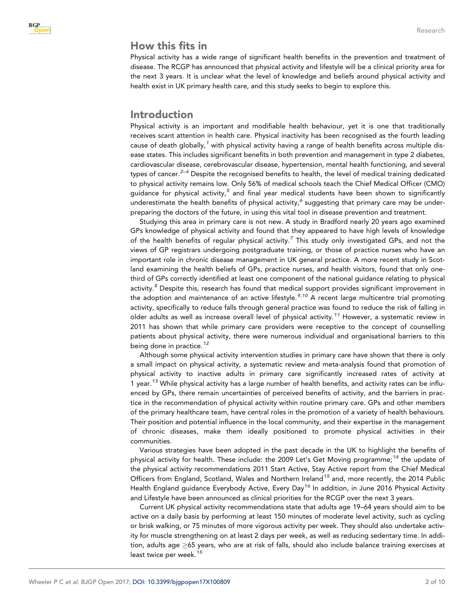# How this fits in

Physical activity has a wide range of significant health benefits in the prevention and treatment of disease. The RCGP has announced that physical activity and lifestyle will be a clinical priority area for the next 3 years. It is unclear what the level of knowledge and beliefs around physical activity and health exist in UK primary health care, and this study seeks to begin to explore this.

## Introduction

Physical activity is an important and modifiable health behaviour, yet it is one that traditionally receives scant attention in health care. Physical inactivity has been recognised as the fourth leading cause of death globally,<sup>[1](#page-8-0)</sup> with physical activity having a range of health benefits across multiple disease states. This includes significant benefits in both prevention and management in type 2 diabetes, cardiovascular disease, cerebrovascular disease, hypertension, mental health functioning, and several types of cancer.<sup>[2–4](#page-8-0)</sup> Despite the recognised benefits to health, the level of medical training dedicated to physical activity remains low. Only 56% of medical schools teach the Chief Medical Officer (CMO) guidance for physical activity, $^5$  $^5$  and final year medical students have been shown to significantly underestimate the health benefits of physical activity, $^6$  $^6$  suggesting that primary care may be underpreparing the doctors of the future, in using this vital tool in disease prevention and treatment.

Studying this area in primary care is not new. A study in Bradford nearly 20 years ago examined GPs knowledge of physical activity and found that they appeared to have high levels of knowledge of the health benefits of regular physical activity.<sup>[7](#page-8-0)</sup> This study only investigated GPs, and not the views of GP registrars undergoing postgraduate training, or those of practice nurses who have an important role in chronic disease management in UK general practice. A more recent study in Scotland examining the health beliefs of GPs, practice nurses, and health visitors, found that only onethird of GPs correctly identified at least one component of the national guidance relating to physical activity.<sup>[8](#page-8-0)</sup> Despite this, research has found that medical support provides significant improvement in the adoption and maintenance of an active lifestyle.<sup>[9,10](#page-9-0)</sup> A recent large multicentre trial promoting activity, specifically to reduce falls through general practice was found to reduce the risk of falling in older adults as well as increase overall level of physical activity.<sup>[11](#page-9-0)</sup> However, a systematic review in 2011 has shown that while primary care providers were receptive to the concept of counselling patients about physical activity, there were numerous individual and organisational barriers to this being done in practice.<sup>[12](#page-9-0)</sup>

Although some physical activity intervention studies in primary care have shown that there is only a small impact on physical activity, a systematic review and meta-analysis found that promotion of physical activity to inactive adults in primary care significantly increased rates of activity at 1 year.<sup>[13](#page-9-0)</sup> While physical activity has a large number of health benefits, and activity rates can be influenced by GPs, there remain uncertainties of perceived benefits of activity, and the barriers in practice in the recommendation of physical activity within routine primary care. GPs and other members of the primary healthcare team, have central roles in the promotion of a variety of health behaviours. Their position and potential influence in the local community, and their expertise in the management of chronic diseases, make them ideally positioned to promote physical activities in their communities.

Various strategies have been adopted in the past decade in the UK to highlight the benefits of physical activity for health. These include: the 2009 Let's Get Moving programme;<sup>[14](#page-9-0)</sup> the update of the physical activity recommendations 2011 Start Active, Stay Active report from the Chief Medical Officers from England, Scotland, Wales and Northern Ireland<sup>[15](#page-9-0)</sup> and, more recently, the 2014 Public Health England guidance Everybody Active, Every Day<sup>[16](#page-9-0)</sup> In addition, in June 2016 Physical Activity and Lifestyle have been announced as clinical priorities for the RCGP over the next 3 years.

Current UK physical activity recommendations state that adults age 19–64 years should aim to be active on a daily basis by performing at least 150 minutes of moderate level activity, such as cycling or brisk walking, or 75 minutes of more vigorous activity per week. They should also undertake activity for muscle strengthening on at least 2 days per week, as well as reducing sedentary time. In addition, adults age  $\geq$ 65 years, who are at risk of falls, should also include balance training exercises at least twice per week.<sup>[15](#page-9-0)</sup>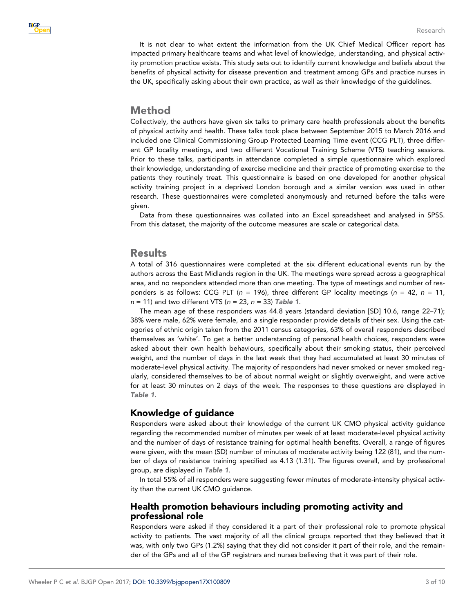It is not clear to what extent the information from the UK Chief Medical Officer report has impacted primary healthcare teams and what level of knowledge, understanding, and physical activity promotion practice exists. This study sets out to identify current knowledge and beliefs about the benefits of physical activity for disease prevention and treatment among GPs and practice nurses in the UK, specifically asking about their own practice, as well as their knowledge of the guidelines.

## Method

Collectively, the authors have given six talks to primary care health professionals about the benefits of physical activity and health. These talks took place between September 2015 to March 2016 and included one Clinical Commissioning Group Protected Learning Time event (CCG PLT), three different GP locality meetings, and two different Vocational Training Scheme (VTS) teaching sessions. Prior to these talks, participants in attendance completed a simple questionnaire which explored their knowledge, understanding of exercise medicine and their practice of promoting exercise to the patients they routinely treat. This questionnaire is based on one developed for another physical activity training project in a deprived London borough and a similar version was used in other research. These questionnaires were completed anonymously and returned before the talks were given.

Data from these questionnaires was collated into an Excel spreadsheet and analysed in SPSS. From this dataset, the majority of the outcome measures are scale or categorical data.

# **Results**

A total of 316 questionnaires were completed at the six different educational events run by the authors across the East Midlands region in the UK. The meetings were spread across a geographical area, and no responders attended more than one meeting. The type of meetings and number of responders is as follows: CCG PLT ( $n = 196$ ), three different GP locality meetings ( $n = 42$ ,  $n = 11$ ,  $n = 11$ ) and two different VTS ( $n = 23$ ,  $n = 33$ ) [Table 1](#page-3-0).

The mean age of these responders was 44.8 years (standard deviation [SD] 10.6, range 22–71); 38% were male, 62% were female, and a single responder provide details of their sex. Using the categories of ethnic origin taken from the 2011 census categories, 63% of overall responders described themselves as 'white'. To get a better understanding of personal health choices, responders were asked about their own health behaviours, specifically about their smoking status, their perceived weight, and the number of days in the last week that they had accumulated at least 30 minutes of moderate-level physical activity. The majority of responders had never smoked or never smoked regularly, considered themselves to be of about normal weight or slightly overweight, and were active for at least 30 minutes on 2 days of the week. The responses to these questions are displayed in [Table 1](#page-3-0).

## Knowledge of guidance

Responders were asked about their knowledge of the current UK CMO physical activity guidance regarding the recommended number of minutes per week of at least moderate-level physical activity and the number of days of resistance training for optimal health benefits. Overall, a range of figures were given, with the mean (SD) number of minutes of moderate activity being 122 (81), and the number of days of resistance training specified as 4.13 (1.31). The figures overall, and by professional group, are displayed in [Table 1](#page-3-0).

In total 55% of all responders were suggesting fewer minutes of moderate-intensity physical activity than the current UK CMO guidance.

#### Health promotion behaviours including promoting activity and professional role

Responders were asked if they considered it a part of their professional role to promote physical activity to patients. The vast majority of all the clinical groups reported that they believed that it was, with only two GPs (1.2%) saying that they did not consider it part of their role, and the remainder of the GPs and all of the GP registrars and nurses believing that it was part of their role.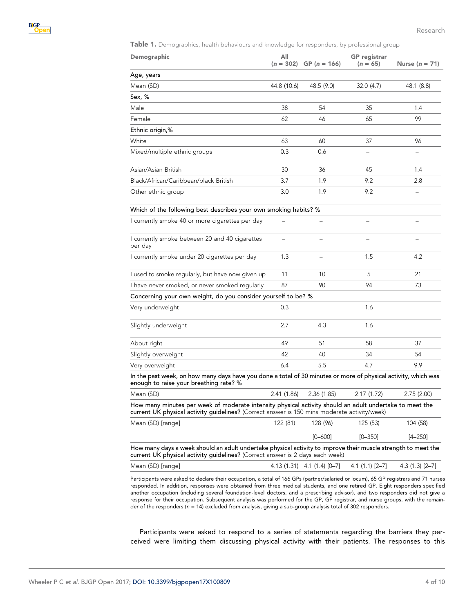<span id="page-3-0"></span>Table 1. Demographics, health behaviours and knowledge for responders, by professional group

| Demographic                                                                                                                                                                                                                                                                                                                                                                                         | All         | $(n = 302)$ GP $(n = 166)$      | <b>GP</b> registrar<br>$(n = 65)$ | Nurse $(n = 71)$  |
|-----------------------------------------------------------------------------------------------------------------------------------------------------------------------------------------------------------------------------------------------------------------------------------------------------------------------------------------------------------------------------------------------------|-------------|---------------------------------|-----------------------------------|-------------------|
| Age, years                                                                                                                                                                                                                                                                                                                                                                                          |             |                                 |                                   |                   |
| Mean (SD)                                                                                                                                                                                                                                                                                                                                                                                           | 44.8 (10.6) | 48.5 (9.0)                      | 32.0(4.7)                         | 48.1 (8.8)        |
| Sex, %                                                                                                                                                                                                                                                                                                                                                                                              |             |                                 |                                   |                   |
| Male                                                                                                                                                                                                                                                                                                                                                                                                | 38          | 54                              | 35                                | 1.4               |
| Female                                                                                                                                                                                                                                                                                                                                                                                              | 62          | 46                              | 65                                | 99                |
| Ethnic origin,%                                                                                                                                                                                                                                                                                                                                                                                     |             |                                 |                                   |                   |
| White                                                                                                                                                                                                                                                                                                                                                                                               | 63          | 60                              | 37                                | 96                |
| Mixed/multiple ethnic groups                                                                                                                                                                                                                                                                                                                                                                        | 0.3         | 0.6                             |                                   |                   |
| Asian/Asian British                                                                                                                                                                                                                                                                                                                                                                                 | 30          | 36                              | 45                                | 1.4               |
| Black/African/Caribbean/black British                                                                                                                                                                                                                                                                                                                                                               | 3.7         | 1.9                             | 9.2                               | 2.8               |
| Other ethnic group                                                                                                                                                                                                                                                                                                                                                                                  | 3.0         | 1.9                             | 9.2                               |                   |
| Which of the following best describes your own smoking habits? %                                                                                                                                                                                                                                                                                                                                    |             |                                 |                                   |                   |
| I currently smoke 40 or more cigarettes per day                                                                                                                                                                                                                                                                                                                                                     |             |                                 |                                   |                   |
| I currently smoke between 20 and 40 cigarettes<br>per day                                                                                                                                                                                                                                                                                                                                           |             |                                 |                                   |                   |
| I currently smoke under 20 cigarettes per day                                                                                                                                                                                                                                                                                                                                                       | 1.3         | $\overline{\phantom{0}}$        | 1.5                               | 4.2               |
| I used to smoke regularly, but have now given up                                                                                                                                                                                                                                                                                                                                                    | 11          | 10                              | 5                                 | 21                |
| I have never smoked, or never smoked regularly                                                                                                                                                                                                                                                                                                                                                      | 87          | 90                              | 94                                | 73                |
| Concerning your own weight, do you consider yourself to be? %                                                                                                                                                                                                                                                                                                                                       |             |                                 |                                   |                   |
| Very underweight                                                                                                                                                                                                                                                                                                                                                                                    | 0.3         |                                 | 1.6                               |                   |
| Slightly underweight                                                                                                                                                                                                                                                                                                                                                                                | 2.7         | 4.3                             | 1.6                               |                   |
| About right                                                                                                                                                                                                                                                                                                                                                                                         | 49          | 51                              | 58                                | 37                |
| Slightly overweight                                                                                                                                                                                                                                                                                                                                                                                 | 42          | 40                              | 34                                | 54                |
| Very overweight                                                                                                                                                                                                                                                                                                                                                                                     | 6.4         | 5.5                             | 4.7                               | 9.9               |
| In the past week, on how many days have you done a total of 30 minutes or more of physical activity, which was<br>enough to raise your breathing rate? %                                                                                                                                                                                                                                            |             |                                 |                                   |                   |
| Mean (SD)                                                                                                                                                                                                                                                                                                                                                                                           | 2.41 (1.86) | 2.36 (1.85)                     | 2.17(1.72)                        | 2.75 (2.00)       |
| How many minutes per week of moderate intensity physical activity should an adult undertake to meet the<br>current UK physical activity guidelines? (Correct answer is 150 mins moderate activity/week)                                                                                                                                                                                             |             |                                 |                                   |                   |
| Mean (SD) [range]                                                                                                                                                                                                                                                                                                                                                                                   | 122 (81)    | 128 (96)                        | 125 (53)                          | 104 (58)          |
|                                                                                                                                                                                                                                                                                                                                                                                                     |             | $[0 - 600]$                     | $[0 - 350]$                       | $[4 - 250]$       |
| How many days a week should an adult undertake physical activity to improve their muscle strength to meet the<br>current UK physical activity guidelines? (Correct answer is 2 days each week)                                                                                                                                                                                                      |             |                                 |                                   |                   |
| Mean (SD) [range]                                                                                                                                                                                                                                                                                                                                                                                   |             | $4.13(1.31)$ $4.1(1.4)$ $[0-7]$ | $4.1(1.1)[2-7]$                   | $4.3(1.3)[2 - 7]$ |
| Participants were asked to declare their occupation, a total of 166 GPs (partner/salaried or locum), 65 GP registrars and 71 nurses<br>responded. In addition, responses were obtained from three medical students, and one retired GP. Eight responders specified<br>another occupation (including several foundation-level doctors, and a prescribing advisor), and two responders did not give a |             |                                 |                                   |                   |

responded. In addition, responses were obtained from three medical students, and one retired GP. Eight responders specified another occupation (including several foundation-level doctors, and a prescribing advisor), and two responders did not give a response for their occupation. Subsequent analysis was performed for the GP, GP registrar, and nurse groups, with the remainder of the responders (n = 14) excluded from analysis, giving a sub-group analysis total of 302 responders.

Participants were asked to respond to a series of statements regarding the barriers they perceived were limiting them discussing physical activity with their patients. The responses to this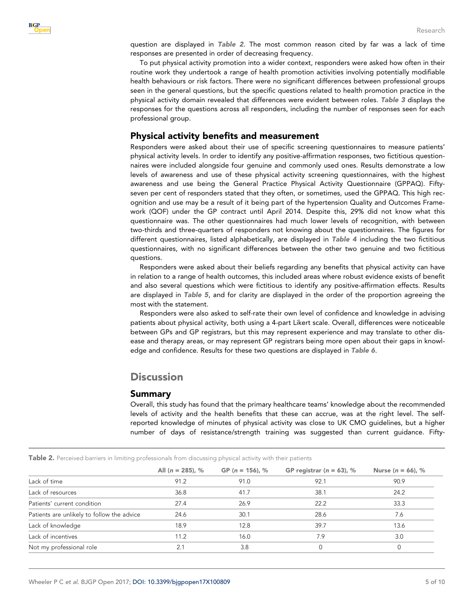question are displayed in Table 2. The most common reason cited by far was a lack of time responses are presented in order of decreasing frequency.

To put physical activity promotion into a wider context, responders were asked how often in their routine work they undertook a range of health promotion activities involving potentially modifiable health behaviours or risk factors. There were no significant differences between professional groups seen in the general questions, but the specific questions related to health promotion practice in the physical activity domain revealed that differences were evident between roles. [Table 3](#page-5-0) displays the responses for the questions across all responders, including the number of responses seen for each professional group.

## Physical activity benefits and measurement

Responders were asked about their use of specific screening questionnaires to measure patients' physical activity levels. In order to identify any positive-affirmation responses, two fictitious questionnaires were included alongside four genuine and commonly used ones. Results demonstrate a low levels of awareness and use of these physical activity screening questionnaires, with the highest awareness and use being the General Practice Physical Activity Questionnaire (GPPAQ). Fiftyseven per cent of responders stated that they often, or sometimes, used the GPPAQ. This high recognition and use may be a result of it being part of the hypertension Quality and Outcomes Framework (QOF) under the GP contract until April 2014. Despite this, 29% did not know what this questionnaire was. The other questionnaires had much lower levels of recognition, with between two-thirds and three-quarters of responders not knowing about the questionnaires. The figures for different questionnaires, listed alphabetically, are displayed in [Table 4](#page-6-0) including the two fictitious questionnaires, with no significant differences between the other two genuine and two fictitious questions.

Responders were asked about their beliefs regarding any benefits that physical activity can have in relation to a range of health outcomes, this included areas where robust evidence exists of benefit and also several questions which were fictitious to identify any positive-affirmation effects. Results are displayed in [Table 5](#page-7-0), and for clarity are displayed in the order of the proportion agreeing the most with the statement.

Responders were also asked to self-rate their own level of confidence and knowledge in advising patients about physical activity, both using a 4-part Likert scale. Overall, differences were noticeable between GPs and GP registrars, but this may represent experience and may translate to other disease and therapy areas, or may represent GP registrars being more open about their gaps in knowledge and confidence. Results for these two questions are displayed in [Table 6](#page-7-0).

# **Discussion**

#### Summary

Overall, this study has found that the primary healthcare teams' knowledge about the recommended levels of activity and the health benefits that these can accrue, was at the right level. The selfreported knowledge of minutes of physical activity was close to UK CMO guidelines, but a higher number of days of resistance/strength training was suggested than current guidance. Fifty-

|                                            | All $(n = 285)$ , % | GP ( $n = 156$ ), % | GP registrar ( $n = 63$ ), % | Nurse ( $n = 66$ ), % |
|--------------------------------------------|---------------------|---------------------|------------------------------|-----------------------|
| Lack of time                               | 91.2                | 91.0                | 92.1                         | 90.9                  |
| Lack of resources                          | 36.8                | 41.7                | 38.1                         | 24.2                  |
| Patients' current condition                | 27.4                | 26.9                | 22.2                         | 33.3                  |
| Patients are unlikely to follow the advice | 24.6                | 30.1                | 28.6                         | 7.6                   |
| Lack of knowledge                          | 18.9                | 12.8                | 39.7                         | 13.6                  |
| Lack of incentives                         | 11.2                | 16.0                | 7.9                          | 3.0                   |
| Not my professional role                   | 2.1                 | 3.8                 |                              |                       |

Table 2. Perceived barriers in limiting professionals from discussing physical activity with their patients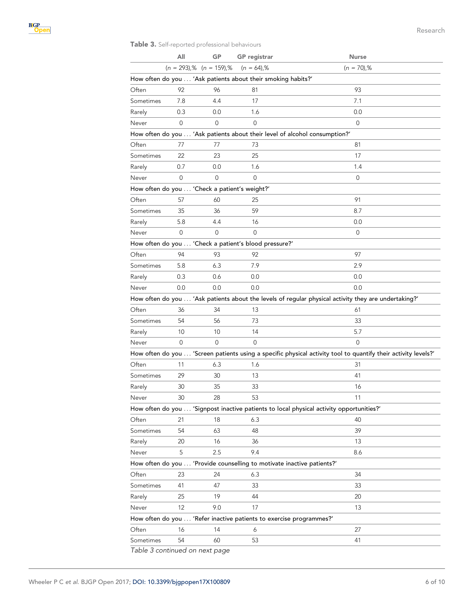#### <span id="page-5-0"></span>Table 3. Self-reported professional behaviours

|           | All                            | GP       | <b>GP</b> registrar                                          | <b>Nurse</b>                                                                                                   |
|-----------|--------------------------------|----------|--------------------------------------------------------------|----------------------------------------------------------------------------------------------------------------|
|           | $(n = 293)$ ,% $(n = 159)$ ,%  |          | $(n = 64)$ ,%                                                | $(n = 70)$ ,%                                                                                                  |
|           |                                |          | How often do you  'Ask patients about their smoking habits?' |                                                                                                                |
| Often     | 92                             | 96       | 81                                                           | 93                                                                                                             |
| Sometimes | 7.8                            | 4.4      | 17                                                           | 7.1                                                                                                            |
| Rarely    | 0.3                            | 0.0      | 1.6                                                          | 0.0                                                                                                            |
| Never     | $\Omega$                       | $\Omega$ | $\Omega$                                                     | $\mathbf 0$                                                                                                    |
|           |                                |          |                                                              | How often do you  'Ask patients about their level of alcohol consumption?'                                     |
| Often     | 77                             | 77       | 73                                                           | 81                                                                                                             |
| Sometimes | 22                             | 23       | 25                                                           | 17                                                                                                             |
| Rarely    | 0.7                            | 0.0      | 1.6                                                          | 1.4                                                                                                            |
| Never     | 0                              | 0        | 0                                                            | 0                                                                                                              |
|           |                                |          | How often do you  'Check a patient's weight?'                |                                                                                                                |
| Often     | 57                             | 60       | 25                                                           | 91                                                                                                             |
| Sometimes | 35                             | 36       | 59                                                           | 8.7                                                                                                            |
| Rarely    | 5.8                            | 4.4      | 16                                                           | 0.0                                                                                                            |
| Never     | $\Omega$                       | $\Omega$ | $\Omega$                                                     | 0                                                                                                              |
|           |                                |          | How often do you  'Check a patient's blood pressure?'        |                                                                                                                |
| Often     | 94                             | 93       | 92                                                           | 97                                                                                                             |
| Sometimes | 5.8                            | 6.3      | 7.9                                                          | 2.9                                                                                                            |
| Rarely    | 0.3                            | 0.6      | 0.0                                                          | 0.0                                                                                                            |
| Never     | 0.0                            | 0.0      | 0.0                                                          | 0.0                                                                                                            |
|           |                                |          |                                                              | How often do you  'Ask patients about the levels of regular physical activity they are undertaking?'           |
| Often     | 36                             | 34       | 13                                                           | 61                                                                                                             |
| Sometimes | 54                             | 56       | 73                                                           | 33                                                                                                             |
| Rarely    | 10                             | 10       | 14                                                           | 5.7                                                                                                            |
| Never     | 0                              | 0        | 0                                                            | $\mathbf 0$                                                                                                    |
|           |                                |          |                                                              | How often do you  'Screen patients using a specific physical activity tool to quantify their activity levels?' |
| Often     | 11                             | 6.3      | 1.6                                                          | 31                                                                                                             |
| Sometimes | 29                             | 30       | 13                                                           | 41                                                                                                             |
| Rarely    | 30                             | 35       | 33                                                           | 16                                                                                                             |
| Never     | 30                             | 28       | 53                                                           | 11                                                                                                             |
|           |                                |          |                                                              | How often do you  'Signpost inactive patients to local physical activity opportunities?'                       |
| Often     | 21                             | 18       | 6.3                                                          | 40                                                                                                             |
| Sometimes | 54                             | 63       | 48                                                           | 39                                                                                                             |
| Rarely    | 20                             | 16       | 36                                                           | 13                                                                                                             |
| Never     | 5                              | 2.5      | 9.4                                                          | 8.6                                                                                                            |
|           |                                |          |                                                              | How often do you  'Provide counselling to motivate inactive patients?'                                         |
| Often     | 23                             | 24       | 6.3                                                          | 34                                                                                                             |
| Sometimes | 41                             | 47       | 33                                                           | 33                                                                                                             |
| Rarely    | 25                             | 19       | 44                                                           | 20                                                                                                             |
| Never     | 12                             | 9.0      | 17                                                           | 13                                                                                                             |
|           |                                |          |                                                              | How often do you  'Refer inactive patients to exercise programmes?'                                            |
| Often     | 16                             | 14       | 6                                                            | 27                                                                                                             |
| Sometimes | 54                             | 60       | 53                                                           | 41                                                                                                             |
|           | Table 3 continued on next page |          |                                                              |                                                                                                                |

Table 3 continued on next page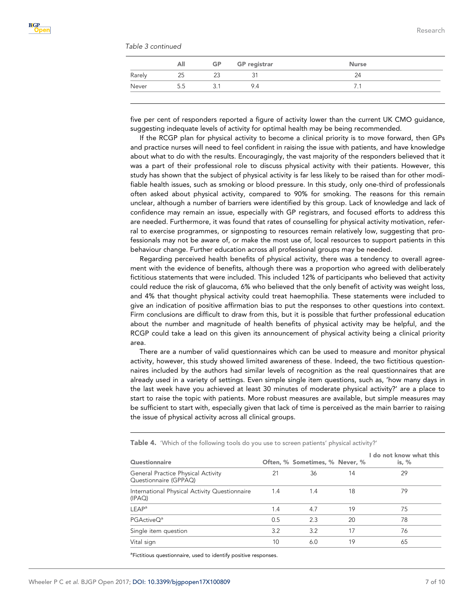<span id="page-6-0"></span>

|  | Table 3 continued |
|--|-------------------|
|--|-------------------|

|        | All | <b>GP</b> | <b>GP</b> registrar | <b>Nurse</b> |  |
|--------|-----|-----------|---------------------|--------------|--|
| Rarely | 25  | 23        |                     | 24           |  |
| Never  | 5.5 | 3.1       | 9.4                 |              |  |

five per cent of responders reported a figure of activity lower than the current UK CMO guidance, suggesting indequate levels of activity for optimal health may be being recommended.

If the RCGP plan for physical activity to become a clinical priority is to move forward, then GPs and practice nurses will need to feel confident in raising the issue with patients, and have knowledge about what to do with the results. Encouragingly, the vast majority of the responders believed that it was a part of their professional role to discuss physical activity with their patients. However, this study has shown that the subject of physical activity is far less likely to be raised than for other modifiable health issues, such as smoking or blood pressure. In this study, only one-third of professionals often asked about physical activity, compared to 90% for smoking. The reasons for this remain unclear, although a number of barriers were identified by this group. Lack of knowledge and lack of confidence may remain an issue, especially with GP registrars, and focused efforts to address this are needed. Furthermore, it was found that rates of counselling for physical activity motivation, referral to exercise programmes, or signposting to resources remain relatively low, suggesting that professionals may not be aware of, or make the most use of, local resources to support patients in this behaviour change. Further education across all professional groups may be needed.

Regarding perceived health benefits of physical activity, there was a tendency to overall agreement with the evidence of benefits, although there was a proportion who agreed with deliberately fictitious statements that were included. This included 12% of participants who believed that activity could reduce the risk of glaucoma, 6% who believed that the only benefit of activity was weight loss, and 4% that thought physical activity could treat haemophilia. These statements were included to give an indication of positive affirmation bias to put the responses to other questions into context. Firm conclusions are difficult to draw from this, but it is possible that further professional education about the number and magnitude of health benefits of physical activity may be helpful, and the RCGP could take a lead on this given its announcement of physical activity being a clinical priority area.

There are a number of valid questionnaires which can be used to measure and monitor physical activity, however, this study showed limited awareness of these. Indeed, the two fictitious questionnaires included by the authors had similar levels of recognition as the real questionnaires that are already used in a variety of settings. Even simple single item questions, such as, 'how many days in the last week have you achieved at least 30 minutes of moderate physical activity?' are a place to start to raise the topic with patients. More robust measures are available, but simple measures may be sufficient to start with, especially given that lack of time is perceived as the main barrier to raising the issue of physical activity across all clinical groups.

| <b>Questionnaire</b>                                        |     | Often, % Sometimes, % Never, % |    | I do not know what this<br>is, $%$ |
|-------------------------------------------------------------|-----|--------------------------------|----|------------------------------------|
| General Practice Physical Activity<br>Questionnaire (GPPAQ) | 21  | 36                             | 14 | 29                                 |
| International Physical Activity Questionnaire<br>(IPAO)     | 1.4 | 1.4                            | 18 | 79                                 |
| <b>LEAP</b> <sup>a</sup>                                    | 1.4 | 4.7                            | 19 | 75                                 |
| PGActiveO <sup>a</sup>                                      | 0.5 | 2.3                            | 20 | 78                                 |
| Single item question                                        | 3.2 | 3.2                            | 17 | 76                                 |
| Vital sign                                                  | 10  | 6.0                            | 19 | 65                                 |

Table 4. 'Which of the following tools do you use to screen patients' physical activity?'

<sup>a</sup>Fictitious questionnaire, used to identify positive responses.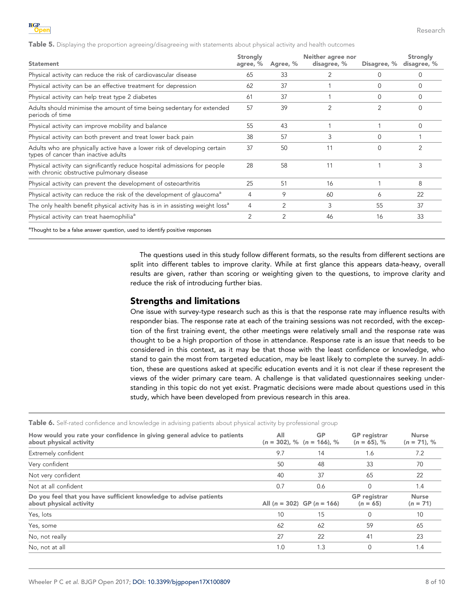<span id="page-7-0"></span>Table 5. Displaying the proportion agreeing/disagreeing with statements about physical activity and health outcomes

| <b>Statement</b>                                                                                                        | Strongly<br>agree, % | Agree, %       | Neither agree nor<br>disagree, % | Disagree, %    | Strongly<br>disagree, % |
|-------------------------------------------------------------------------------------------------------------------------|----------------------|----------------|----------------------------------|----------------|-------------------------|
| Physical activity can reduce the risk of cardiovascular disease                                                         | 65                   | 33             | 2                                | 0              | 0                       |
| Physical activity can be an effective treatment for depression                                                          | 62                   | 37             |                                  | $\Omega$       | $\Omega$                |
| Physical activity can help treat type 2 diabetes                                                                        | 61                   | 37             |                                  | $\Omega$       | $\Omega$                |
| Adults should minimise the amount of time being sedentary for extended<br>periods of time                               | 57                   | 39             | $\overline{2}$                   | $\overline{2}$ | $\Omega$                |
| Physical activity can improve mobility and balance                                                                      | 55                   | 43             |                                  |                | $\Omega$                |
| Physical activity can both prevent and treat lower back pain                                                            | 38                   | 57             | 3                                | $\Omega$       |                         |
| Adults who are physically active have a lower risk of developing certain<br>types of cancer than inactive adults        | 37                   | 50             | 11                               | $\Omega$       | $\overline{2}$          |
| Physical activity can significantly reduce hospital admissions for people<br>with chronic obstructive pulmonary disease | 28                   | 58             | 11                               |                | 3                       |
| Physical activity can prevent the development of osteoarthritis                                                         | 25                   | 51             | 16                               |                | 8                       |
| Physical activity can reduce the risk of the development of glaucoma <sup>a</sup>                                       | 4                    | 9              | 60                               | 6              | 22                      |
| The only health benefit physical activity has is in in assisting weight loss <sup>a</sup>                               | 4                    | 2              | 3                                | 55             | 37                      |
| Physical activity can treat haemophilia <sup>a</sup>                                                                    | $\overline{2}$       | $\overline{2}$ | 46                               | 16             | 33                      |
| <sup>a</sup> Thought to be a false answer question, used to identify positive responses                                 |                      |                |                                  |                |                         |

The questions used in this study follow different formats, so the results from different sections are split into different tables to improve clarity. While at first glance this appears data-heavy, overall results are given, rather than scoring or weighting given to the questions, to improve clarity and reduce the risk of introducing further bias.

#### Strengths and limitations

One issue with survey-type research such as this is that the response rate may influence results with responder bias. The response rate at each of the training sessions was not recorded, with the exception of the first training event, the other meetings were relatively small and the response rate was thought to be a high proportion of those in attendance. Response rate is an issue that needs to be considered in this context, as it may be that those with the least confidence or knowledge, who stand to gain the most from targeted education, may be least likely to complete the survey. In addition, these are questions asked at specific education events and it is not clear if these represent the views of the wider primary care team. A challenge is that validated questionnaires seeking understanding in this topic do not yet exist. Pragmatic decisions were made about questions used in this study, which have been developed from previous research in this area.

Table 6. Self-rated confidence and knowledge in advising patients about physical activity by professional group

| How would you rate your confidence in giving general advice to patients<br>about physical activity | All | <b>GP</b><br>$(n = 302)$ , % $(n = 166)$ , % | <b>GP</b> registrar<br>$(n = 65)$ , % | <b>Nurse</b><br>$(n = 71)$ , % |
|----------------------------------------------------------------------------------------------------|-----|----------------------------------------------|---------------------------------------|--------------------------------|
| Extremely confident                                                                                | 9.7 | 14                                           | 1.6                                   | 7.2                            |
| Very confident                                                                                     | 50  | 48                                           | 33                                    | 70                             |
| Not very confident                                                                                 | 40  | 37                                           | 65                                    | 22                             |
| Not at all confident                                                                               | 0.7 | 0.6                                          | $\Omega$                              | 1.4                            |
| Do you feel that you have sufficient knowledge to advise patients<br>about physical activity       |     | All $(n = 302)$ GP $(n = 166)$               | <b>GP</b> registrar<br>$(n = 65)$     | <b>Nurse</b><br>$(n = 71)$     |
| Yes, lots                                                                                          | 10  | 15                                           | $\Omega$                              | 10                             |
| Yes, some                                                                                          | 62  | 62                                           | 59                                    | 65                             |
| No, not really                                                                                     | 27  | 22                                           | 41                                    | 23                             |
| No, not at all                                                                                     | 1.0 | 1.3                                          | $\Omega$                              | 1.4                            |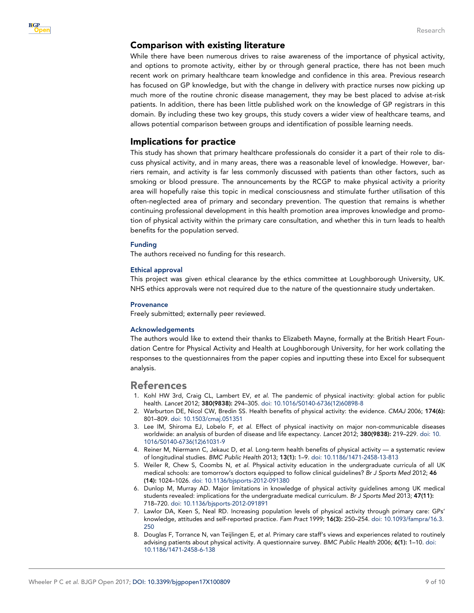#### <span id="page-8-0"></span>Comparison with existing literature

While there have been numerous drives to raise awareness of the importance of physical activity, and options to promote activity, either by or through general practice, there has not been much recent work on primary healthcare team knowledge and confidence in this area. Previous research has focused on GP knowledge, but with the change in delivery with practice nurses now picking up much more of the routine chronic disease management, they may be best placed to advise at-risk patients. In addition, there has been little published work on the knowledge of GP registrars in this domain. By including these two key groups, this study covers a wider view of healthcare teams, and allows potential comparison between groups and identification of possible learning needs.

#### Implications for practice

This study has shown that primary healthcare professionals do consider it a part of their role to discuss physical activity, and in many areas, there was a reasonable level of knowledge. However, barriers remain, and activity is far less commonly discussed with patients than other factors, such as smoking or blood pressure. The announcements by the RCGP to make physical activity a priority area will hopefully raise this topic in medical consciousness and stimulate further utilisation of this often-neglected area of primary and secondary prevention. The question that remains is whether continuing professional development in this health promotion area improves knowledge and promotion of physical activity within the primary care consultation, and whether this in turn leads to health benefits for the population served.

#### Funding

The authors received no funding for this research.

#### Ethical approval

This project was given ethical clearance by the ethics committee at Loughborough University, UK. NHS ethics approvals were not required due to the nature of the questionnaire study undertaken.

#### **Provenance**

Freely submitted; externally peer reviewed.

#### Acknowledgements

The authors would like to extend their thanks to Elizabeth Mayne, formally at the British Heart Foundation Centre for Physical Activity and Health at Loughborough University, for her work collating the responses to the questionnaires from the paper copies and inputting these into Excel for subsequent analysis.

## References

- 1. Kohl HW 3rd, Craig CL, Lambert EV, et al. The pandemic of physical inactivity: global action for public health. Lancet 2012; 380(9838): 294–305. [doi: 10.1016/S0140-6736\(12\)60898-8](http://dx.doi.org/10.1016/S0140-6736(12)60898-8)
- 2. Warburton DE, Nicol CW, Bredin SS. Health benefits of physical activity: the evidence. CMAJ 2006; 174(6): 801–809. [doi: 10.1503/cmaj.051351](http://dx.doi.org/10.1503/cmaj.051351)
- 3. Lee IM, Shiroma EJ, Lobelo F, et al. Effect of physical inactivity on major non-communicable diseases worldwide: an analysis of burden of disease and life expectancy. Lancet 2012; 380(9838): 219–229. [doi: 10.](http://dx.doi.org/10.1016/S0140-6736(12)61031-9) [1016/S0140-6736\(12\)61031-9](http://dx.doi.org/10.1016/S0140-6736(12)61031-9)
- 4. Reiner M, Niermann C, Jekauc D, et al. Long-term health benefits of physical activity a systematic review of longitudinal studies. BMC Public Health 2013; 13(1): 1–9. [doi: 10.1186/1471-2458-13-813](http://dx.doi.org/10.1186/1471-2458-13-813)
- 5. Weiler R, Chew S, Coombs N, et al. Physical activity education in the undergraduate curricula of all UK medical schools: are tomorrow's doctors equipped to follow clinical guidelines? Br J Sports Med 2012; 46 (14): 1024–1026. [doi: 10.1136/bjsports-2012-091380](http://dx.doi.org/10.1136/bjsports-2012-091380)
- 6. Dunlop M, Murray AD. Major limitations in knowledge of physical activity guidelines among UK medical students revealed: implications for the undergraduate medical curriculum. Br J Sports Med 2013; 47(11): 718–720. [doi: 10.1136/bjsports-2012-091891](http://dx.doi.org/10.1136/bjsports-2012-091891)
- 7. Lawlor DA, Keen S, Neal RD. Increasing population levels of physical activity through primary care: GPs' knowledge, attitudes and self-reported practice. Fam Pract 1999; 16(3): 250–254. [doi: 10.1093/fampra/16.3.](http://dx.doi.org/10.1093/fampra/16.3.250) [250](http://dx.doi.org/10.1093/fampra/16.3.250)
- 8. Douglas F, Torrance N, van Teijlingen E, et al. Primary care staff's views and experiences related to routinely advising patients about physical activity. A questionnaire survey. BMC Public Health 2006; 6(1): 1–10. [doi:](http://dx.doi.org/10.1186/1471-2458-6-138) [10.1186/1471-2458-6-138](http://dx.doi.org/10.1186/1471-2458-6-138)